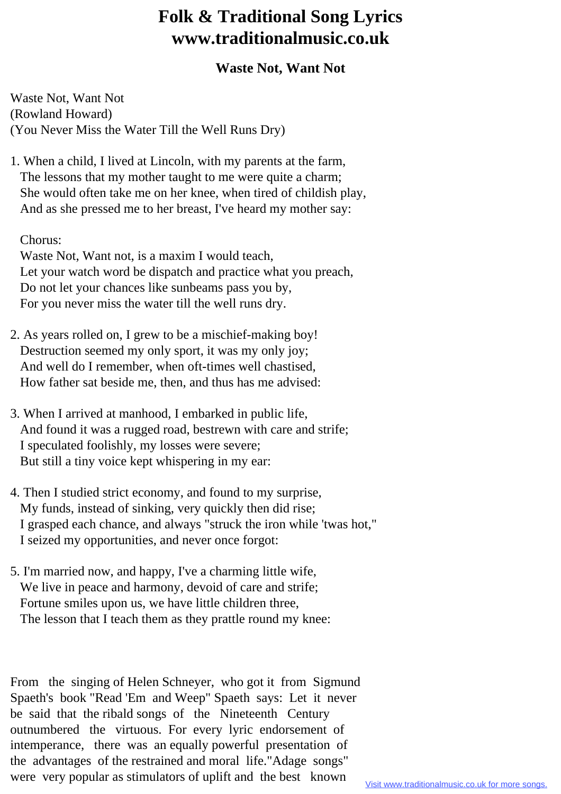## **Folk & Traditional Song Lyrics www.traditionalmusic.co.uk**

## **Waste Not, Want Not**

Waste Not, Want Not (Rowland Howard) (You Never Miss the Water Till the Well Runs Dry)

1. When a child, I lived at Lincoln, with my parents at the farm, The lessons that my mother taught to me were quite a charm; She would often take me on her knee, when tired of childish play, And as she pressed me to her breast, I've heard my mother say:

Chorus:

 Waste Not, Want not, is a maxim I would teach, Let your watch word be dispatch and practice what you preach, Do not let your chances like sunbeams pass you by, For you never miss the water till the well runs dry.

- 2. As years rolled on, I grew to be a mischief-making boy! Destruction seemed my only sport, it was my only joy; And well do I remember, when oft-times well chastised, How father sat beside me, then, and thus has me advised:
- 3. When I arrived at manhood, I embarked in public life, And found it was a rugged road, bestrewn with care and strife; I speculated foolishly, my losses were severe; But still a tiny voice kept whispering in my ear:
- 4. Then I studied strict economy, and found to my surprise, My funds, instead of sinking, very quickly then did rise; I grasped each chance, and always "struck the iron while 'twas hot," I seized my opportunities, and never once forgot:
- 5. I'm married now, and happy, I've a charming little wife, We live in peace and harmony, devoid of care and strife; Fortune smiles upon us, we have little children three, The lesson that I teach them as they prattle round my knee:

From the singing of Helen Schneyer, who got it from Sigmund Spaeth's book "Read 'Em and Weep" Spaeth says: Let it never be said that the ribald songs of the Nineteenth Century outnumbered the virtuous. For every lyric endorsement of intemperance, there was an equally powerful presentation of the advantages of the restrained and moral life."Adage songs" were very popular as stimulators of uplift and the best known